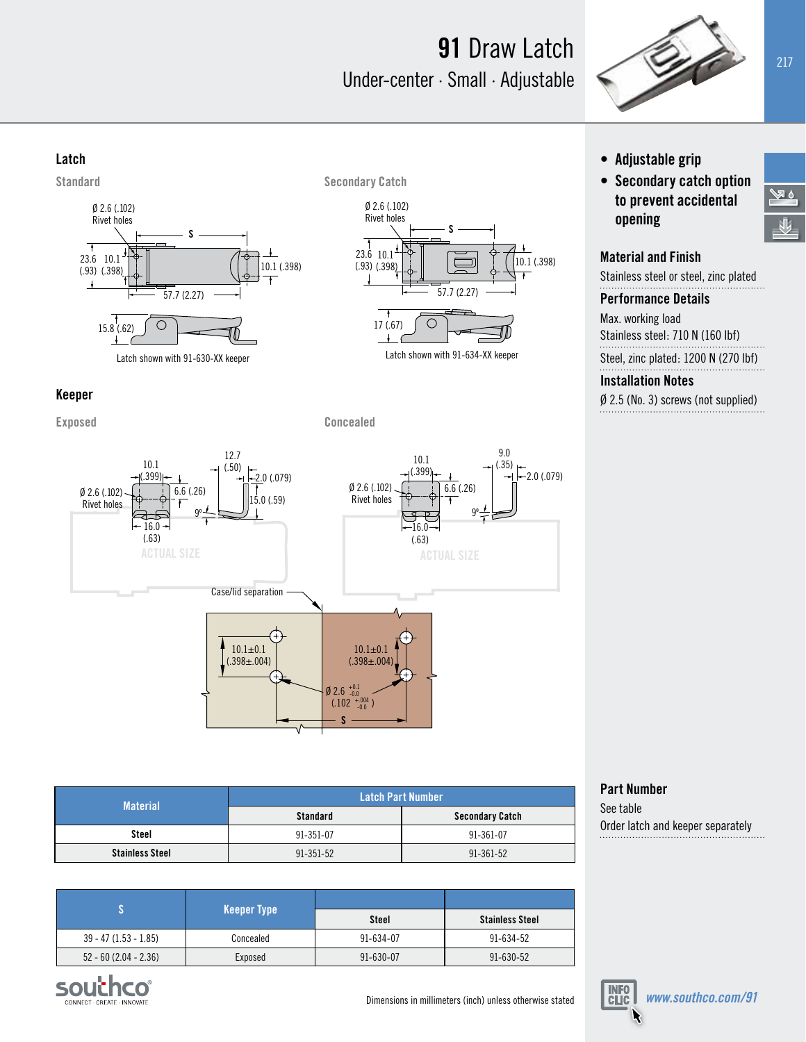# **91** Draw Latch Under-center · Small · Adjustable



#### **Latch**





Latch shown with 91-634-XX keeper

6.6 (.26)

9.0 (.35)

 $\Gamma$  2.0 (.079)

10.1 (.399)

- **• Adjustable grip**
- **• Secondary catch option to prevent accidental opening**

#### **Material and Finish**

Stainless steel or steel, zinc plated

#### **Performance Details**

Max. working load Stainless steel: 710 N (160 lbf) Steel, zinc plated: 1200 N (270 lbf)

#### **Installation Notes**

Ø 2.5 (No. 3) screws (not supplied)

### **Keeper**

**Exposed Concealed**

Ø 2.6 (.102) Rivet holes



10.1  $(.399)$ -

 $-16.0$ (.63)



| <b>Material</b>        | <b>Latch Part Number</b> |                        |
|------------------------|--------------------------|------------------------|
|                        | <b>Standard</b>          | <b>Secondary Catch</b> |
| Steel                  | 91-351-07                | 91-361-07              |
| <b>Stainless Steel</b> | 91-351-52                | 91-361-52              |

|                         | <b>Keeper Type</b> | Steel           | <b>Stainless Steel</b> |
|-------------------------|--------------------|-----------------|------------------------|
| $39 - 47$ (1.53 - 1.85) | Concealed          | $91 - 634 - 07$ | 91-634-52              |
| $52 - 60$ (2.04 - 2.36) | Exposed            | $91 - 630 - 07$ | $91 - 630 - 52$        |





Order latch and keeper separately

**Part Number** See table

の尽

刚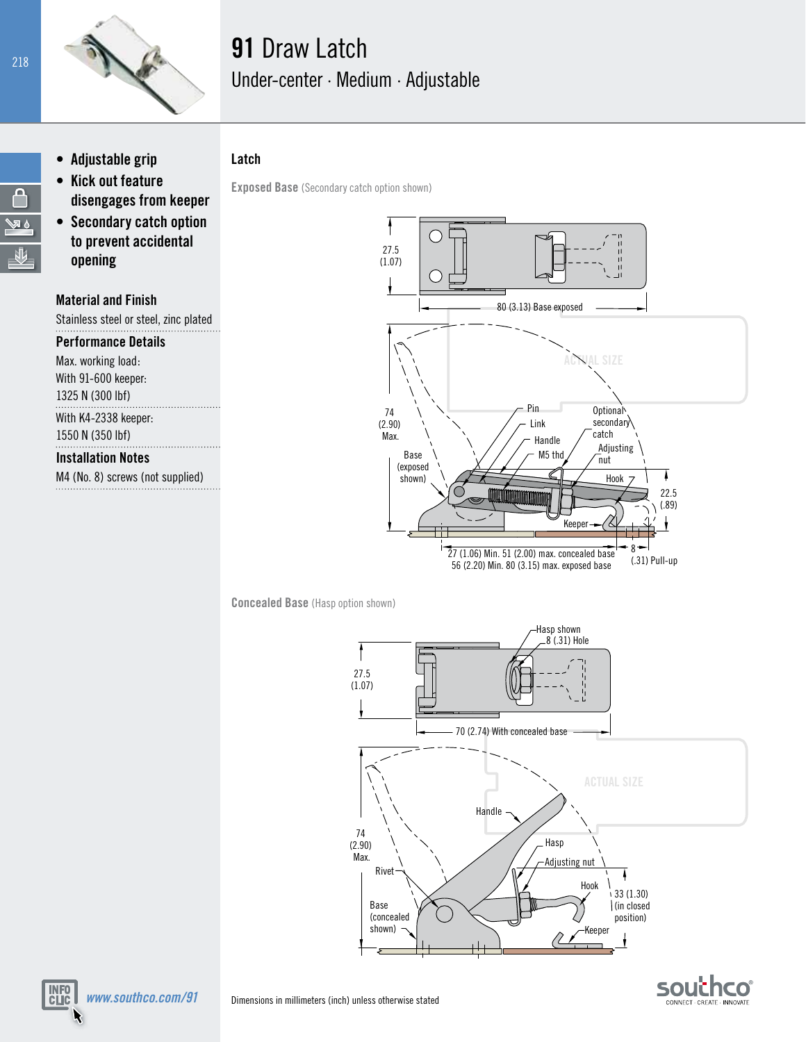

# **91** Draw Latch Under-center · Medium · Adjustable

**• Adjustable grip • Kick out feature** 

- **disengages from keeper • Secondary catch option to prevent accidental**
- **opening**

### **Material and Finish**

Stainless steel or steel, zinc plated

#### **Performance Details**

Max. working load: With 91-600 keeper: 1325 N (300 lbf)

## With K4-2338 keeper:

1550 N (350 lbf)

## **Installation Notes**

M4 (No. 8) screws (not supplied)

*www.southco.com/91*

**INFO**<br>CLIC



**Concealed Base** (Hasp option shown)





Ą √⊠ ∆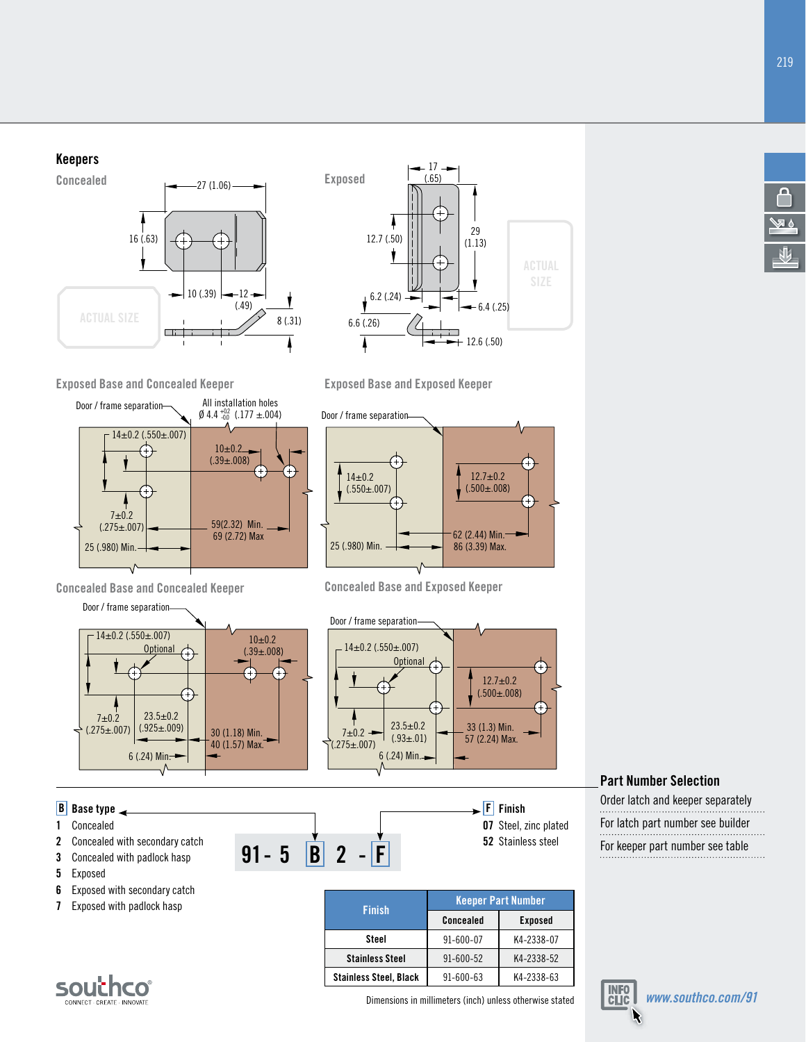







**Exposed Base and Concealed Keeper Exposed Base and Exposed Keeper**



**Concealed Base and Concealed Keeper Concealed Base and Exposed Keeper**





### **Part Number Selection**

Order latch and keeper separately For latch part number see builder



**6** Exposed with secondary catch **7** Exposed with padlock hasp

**Finish Keeper Part Number Concealed Steel** 91-600-07 K4-2338-07 **Stainless Steel** 91-600-52 K4-2338-52 **Stainless Steel, Black** 91-600-63 K4-2338-63



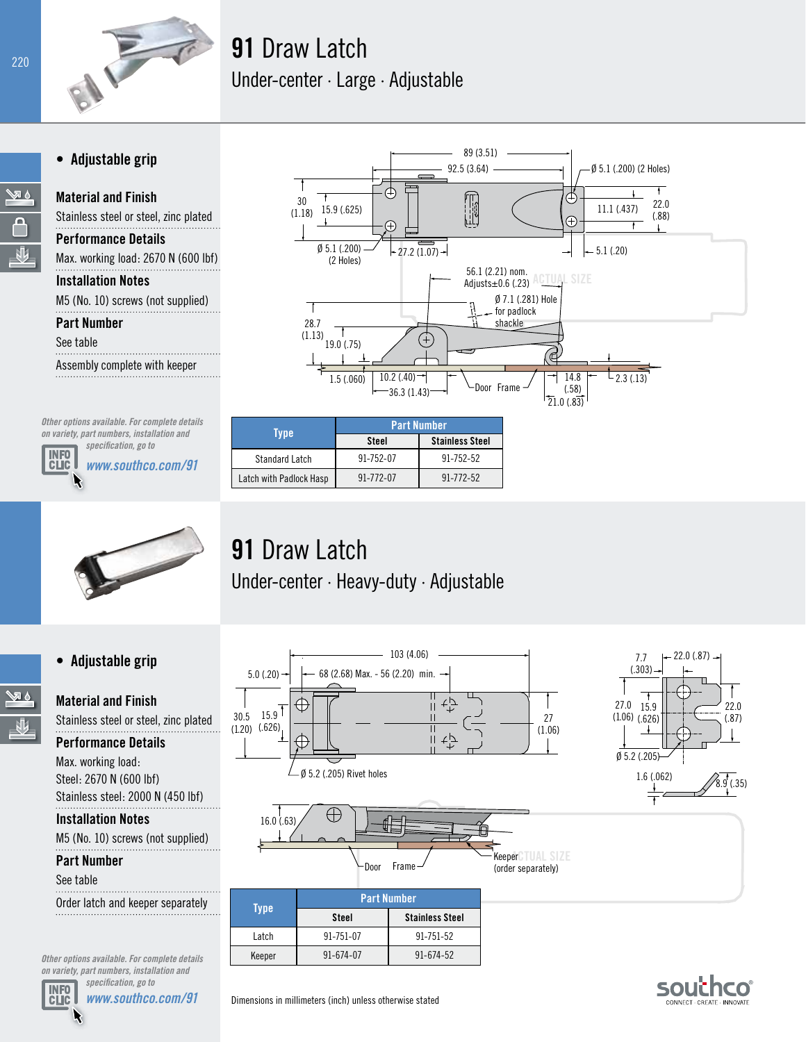

# **91** Draw Latch Under-center · Large · Adjustable

## **• Adjustable grip**

**Material and Finish**

 $6.5$ 

**Performance Details**

Max. working load: 2670 N (600 lbf) **Installation Notes**

Stainless steel or steel, zinc plated

M5 (No. 10) screws (not supplied)

**Part Number**

See table

Assembly complete with keeper

*Other options available. For complete details on variety, part numbers, installation and* 

**INFO**<br>CLIC

*specification, go to www.southco.com/91*





## **• Adjustable grip**

⊗ &

**Material and Finish**

Stainless steel or steel, zinc plated **Performance Details**

Max. working load: Steel: 2670 N (600 lbf) Stainless steel: 2000 N (450 lbf)

**Installation Notes**

M5 (No. 10) screws (not supplied)

### **Part Number**

See table

Order latch and keeper separately

*Other options available. For complete details on variety, part numbers, installation and specification, go to*



*www.southco.com/91*



| Tvpe                    | <b>Part Number</b> |                        |  |
|-------------------------|--------------------|------------------------|--|
|                         | <b>Steel</b>       | <b>Stainless Steel</b> |  |
| <b>Standard Latch</b>   | 91-752-07          | 91-752-52              |  |
| Latch with Padlock Hasp | 91-772-07          | 91-772-52              |  |

**91** Draw Latch Under-center · Heavy-duty · Adjustable



souch ONNECT - CREATE - INNOVATI